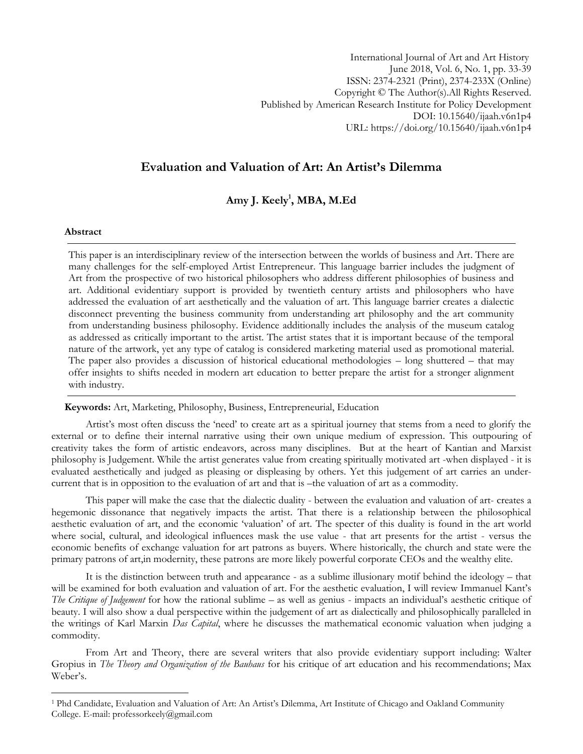International Journal of Art and Art History June 2018, Vol. 6, No. 1, pp. 33-39 ISSN: 2374-2321 (Print), 2374-233X (Online) Copyright © The Author(s).All Rights Reserved. Published by American Research Institute for Policy Development DOI: 10.15640/ijaah.v6n1p4 URL: https://doi.org/10.15640/ijaah.v6n1p4

# **Evaluation and Valuation of Art: An Artist's Dilemma**

# **Amy J. Keely<sup>1</sup> , MBA, M.Ed**

#### **Abstract**

 $\overline{a}$ 

This paper is an interdisciplinary review of the intersection between the worlds of business and Art. There are many challenges for the self-employed Artist Entrepreneur. This language barrier includes the judgment of Art from the prospective of two historical philosophers who address different philosophies of business and art. Additional evidentiary support is provided by twentieth century artists and philosophers who have addressed the evaluation of art aesthetically and the valuation of art. This language barrier creates a dialectic disconnect preventing the business community from understanding art philosophy and the art community from understanding business philosophy. Evidence additionally includes the analysis of the museum catalog as addressed as critically important to the artist. The artist states that it is important because of the temporal nature of the artwork, yet any type of catalog is considered marketing material used as promotional material. The paper also provides a discussion of historical educational methodologies – long shuttered – that may offer insights to shifts needed in modern art education to better prepare the artist for a stronger alignment with industry.

 **Keywords:** Art, Marketing, Philosophy, Business, Entrepreneurial, Education

Artist's most often discuss the 'need' to create art as a spiritual journey that stems from a need to glorify the external or to define their internal narrative using their own unique medium of expression. This outpouring of creativity takes the form of artistic endeavors, across many disciplines. But at the heart of Kantian and Marxist philosophy is Judgement. While the artist generates value from creating spiritually motivated art -when displayed - it is evaluated aesthetically and judged as pleasing or displeasing by others. Yet this judgement of art carries an undercurrent that is in opposition to the evaluation of art and that is –the valuation of art as a commodity.

This paper will make the case that the dialectic duality - between the evaluation and valuation of art- creates a hegemonic dissonance that negatively impacts the artist. That there is a relationship between the philosophical aesthetic evaluation of art, and the economic "valuation" of art. The specter of this duality is found in the art world where social, cultural, and ideological influences mask the use value - that art presents for the artist - versus the economic benefits of exchange valuation for art patrons as buyers. Where historically, the church and state were the primary patrons of art,in modernity, these patrons are more likely powerful corporate CEOs and the wealthy elite.

It is the distinction between truth and appearance - as a sublime illusionary motif behind the ideology – that will be examined for both evaluation and valuation of art. For the aesthetic evaluation, I will review Immanuel Kant's *The Critique of Judgement* for how the rational sublime – as well as genius - impacts an individual's aesthetic critique of beauty. I will also show a dual perspective within the judgement of art as dialectically and philosophically paralleled in the writings of Karl Marxin *Das Capital*, where he discusses the mathematical economic valuation when judging a commodity.

From Art and Theory, there are several writers that also provide evidentiary support including: Walter Gropius in *The Theory and Organization of the Bauhaus* for his critique of art education and his recommendations; Max Weber"s.

<sup>&</sup>lt;sup>1</sup> Phd Candidate, Evaluation and Valuation of Art: An Artist's Dilemma, Art Institute of Chicago and Oakland Community College. E-mail: professorkeely@gmail.com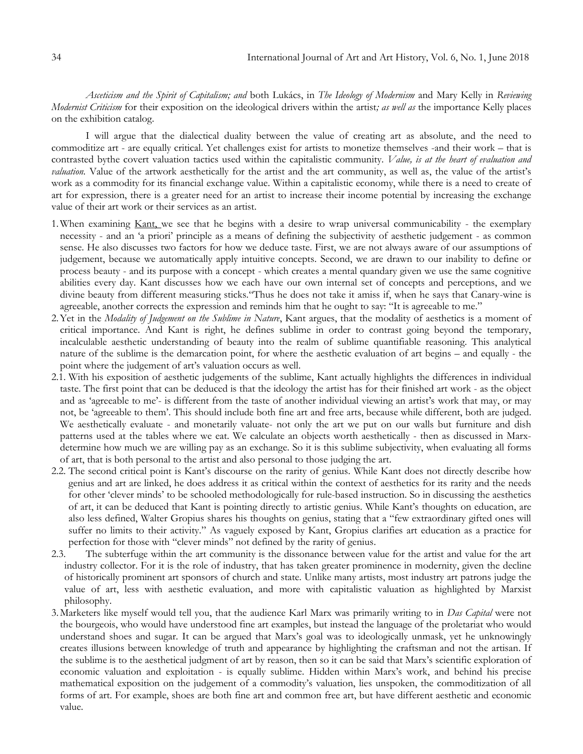*Asceticism and the Spirit of Capitalism; and* both Lukács, in *The Ideology of Modernism* and Mary Kelly in *Reviewing Modernist Criticism* for their exposition on the ideological drivers within the artist*; as well as* the importance Kelly places on the exhibition catalog.

I will argue that the dialectical duality between the value of creating art as absolute, and the need to commoditize art - are equally critical. Yet challenges exist for artists to monetize themselves -and their work – that is contrasted bythe covert valuation tactics used within the capitalistic community. *Value, is at the heart of evaluation and valuation*. Value of the artwork aesthetically for the artist and the art community, as well as, the value of the artist's work as a commodity for its financial exchange value. Within a capitalistic economy, while there is a need to create of art for expression, there is a greater need for an artist to increase their income potential by increasing the exchange value of their art work or their services as an artist.

- 1. When examining Kant, we see that he begins with a desire to wrap universal communicability the exemplary necessity - and an "a priori" principle as a means of defining the subjectivity of aesthetic judgement - as common sense. He also discusses two factors for how we deduce taste. First, we are not always aware of our assumptions of judgement, because we automatically apply intuitive concepts. Second, we are drawn to our inability to define or process beauty - and its purpose with a concept - which creates a mental quandary given we use the same cognitive abilities every day. Kant discusses how we each have our own internal set of concepts and perceptions, and we divine beauty from different measuring sticks."Thus he does not take it amiss if, when he says that Canary-wine is agreeable, another corrects the expression and reminds him that he ought to say: "It is agreeable to me."
- 2.Yet in the *Modality of Judgement on the Sublime in Nature*, Kant argues, that the modality of aesthetics is a moment of critical importance. And Kant is right, he defines sublime in order to contrast going beyond the temporary, incalculable aesthetic understanding of beauty into the realm of sublime quantifiable reasoning. This analytical nature of the sublime is the demarcation point, for where the aesthetic evaluation of art begins – and equally - the point where the judgement of art's valuation occurs as well.
- 2.1. With his exposition of aesthetic judgements of the sublime, Kant actually highlights the differences in individual taste. The first point that can be deduced is that the ideology the artist has for their finished art work - as the object and as 'agreeable to me'- is different from the taste of another individual viewing an artist's work that may, or may not, be "agreeable to them". This should include both fine art and free arts, because while different, both are judged. We aesthetically evaluate - and monetarily valuate- not only the art we put on our walls but furniture and dish patterns used at the tables where we eat. We calculate an objects worth aesthetically - then as discussed in Marxdetermine how much we are willing pay as an exchange. So it is this sublime subjectivity, when evaluating all forms of art, that is both personal to the artist and also personal to those judging the art.
- 2.2. The second critical point is Kant's discourse on the rarity of genius. While Kant does not directly describe how genius and art are linked, he does address it as critical within the context of aesthetics for its rarity and the needs for other "clever minds" to be schooled methodologically for rule-based instruction. So in discussing the aesthetics of art, it can be deduced that Kant is pointing directly to artistic genius. While Kant"s thoughts on education, are also less defined, Walter Gropius shares his thoughts on genius, stating that a "few extraordinary gifted ones will suffer no limits to their activity." As vaguely exposed by Kant, Gropius clarifies art education as a practice for perfection for those with "clever minds" not defined by the rarity of genius.
- 2.3. The subterfuge within the art community is the dissonance between value for the artist and value for the art industry collector. For it is the role of industry, that has taken greater prominence in modernity, given the decline of historically prominent art sponsors of church and state. Unlike many artists, most industry art patrons judge the value of art, less with aesthetic evaluation, and more with capitalistic valuation as highlighted by Marxist philosophy.
- 3.Marketers like myself would tell you, that the audience Karl Marx was primarily writing to in *Das Capital* were not the bourgeois, who would have understood fine art examples, but instead the language of the proletariat who would understand shoes and sugar. It can be argued that Marx"s goal was to ideologically unmask, yet he unknowingly creates illusions between knowledge of truth and appearance by highlighting the craftsman and not the artisan. If the sublime is to the aesthetical judgment of art by reason, then so it can be said that Marx"s scientific exploration of economic valuation and exploitation - is equally sublime. Hidden within Marx"s work, and behind his precise mathematical exposition on the judgement of a commodity"s valuation, lies unspoken, the commoditization of all forms of art. For example, shoes are both fine art and common free art, but have different aesthetic and economic value.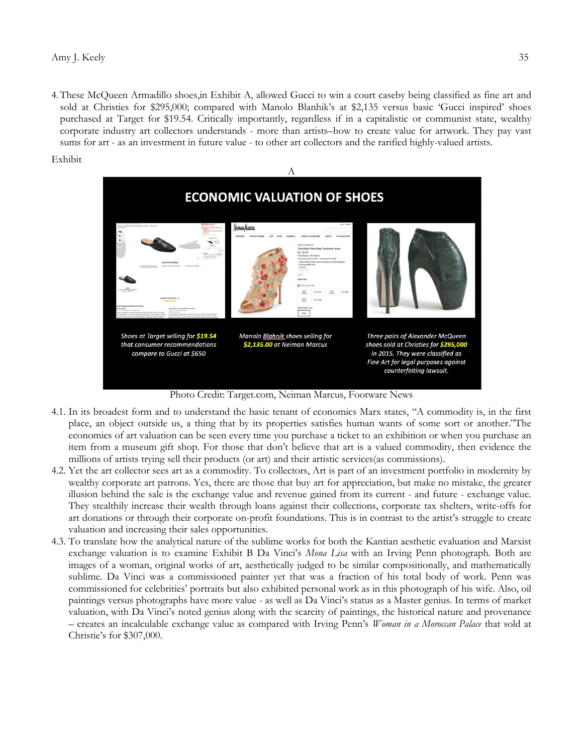4.These McQueen Armadillo shoes,in Exhibit A, allowed Gucci to win a court caseby being classified as fine art and sold at Christies for \$295,000; compared with Manolo Blanhik's at \$2,135 versus basic 'Gucci inspired' shoes purchased at Target for \$19.54. Critically importantly, regardless if in a capitalistic or communist state, wealthy corporate industry art collectors understands - more than artists–how to create value for artwork. They pay vast sums for art - as an investment in future value - to other art collectors and the rarified highly-valued artists.

Exhibit



Photo Credit: Target.com, Neiman Marcus, Footware News

- 4.1. In its broadest form and to understand the basic tenant of economics Marx states, "A commodity is, in the first place, an object outside us, a thing that by its properties satisfies human wants of some sort or another."The economics of art valuation can be seen every time you purchase a ticket to an exhibition or when you purchase an item from a museum gift shop. For those that don"t believe that art is a valued commodity, then evidence the millions of artists trying sell their products (or art) and their artistic services(as commissions).
- 4.2. Yet the art collector sees art as a commodity. To collectors, Art is part of an investment portfolio in modernity by wealthy corporate art patrons. Yes, there are those that buy art for appreciation, but make no mistake, the greater illusion behind the sale is the exchange value and revenue gained from its current - and future - exchange value. They stealthily increase their wealth through loans against their collections, corporate tax shelters, write-offs for art donations or through their corporate on-profit foundations. This is in contrast to the artist"s struggle to create valuation and increasing their sales opportunities.
- 4.3. To translate how the analytical nature of the sublime works for both the Kantian aesthetic evaluation and Marxist exchange valuation is to examine Exhibit B Da Vinci"s *Mona Lisa* with an Irving Penn photograph. Both are images of a woman, original works of art, aesthetically judged to be similar compositionally, and mathematically sublime. Da Vinci was a commissioned painter yet that was a fraction of his total body of work. Penn was commissioned for celebrities" portraits but also exhibited personal work as in this photograph of his wife. Also, oil paintings versus photographs have more value - as well as Da Vinci"s status as a Master genius. In terms of market valuation, with Da Vinci"s noted genius along with the scarcity of paintings, the historical nature and provenance – creates an incalculable exchange value as compared with Irving Penn"s *Woman in a Moroccan Palace* that sold at Christie"s for \$307,000.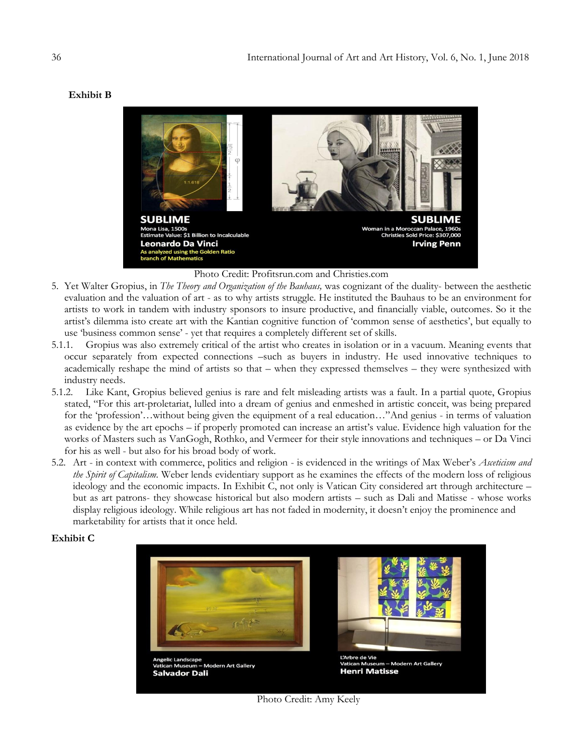## **Exhibit B**



Photo Credit: Profitsrun.com and Christies.com

- 5. Yet Walter Gropius, in *The Theory and Organization of the Bauhaus,* was cognizant of the duality- between the aesthetic evaluation and the valuation of art - as to why artists struggle. He instituted the Bauhaus to be an environment for artists to work in tandem with industry sponsors to insure productive, and financially viable, outcomes. So it the artist"s dilemma isto create art with the Kantian cognitive function of "common sense of aesthetics", but equally to use "business common sense" - yet that requires a completely different set of skills.
- 5.1.1. Gropius was also extremely critical of the artist who creates in isolation or in a vacuum. Meaning events that occur separately from expected connections –such as buyers in industry. He used innovative techniques to academically reshape the mind of artists so that – when they expressed themselves – they were synthesized with industry needs.
- 5.1.2. Like Kant, Gropius believed genius is rare and felt misleading artists was a fault. In a partial quote, Gropius stated, "For this art-proletariat, lulled into a dream of genius and enmeshed in artistic conceit, was being prepared for the 'profession'...without being given the equipment of a real education..."And genius - in terms of valuation as evidence by the art epochs – if properly promoted can increase an artist's value. Evidence high valuation for the works of Masters such as VanGogh, Rothko, and Vermeer for their style innovations and techniques – or Da Vinci for his as well - but also for his broad body of work.
- 5.2. Art in context with commerce, politics and religion is evidenced in the writings of Max Weber"s *Asceticism and the Spirit of Capitalism.* Weber lends evidentiary support as he examines the effects of the modern loss of religious ideology and the economic impacts. In Exhibit C, not only is Vatican City considered art through architecture – but as art patrons- they showcase historical but also modern artists – such as Dali and Matisse - whose works display religious ideology. While religious art has not faded in modernity, it doesn't enjoy the prominence and marketability for artists that it once held.

## **Exhibit C**



Photo Credit: Amy Keely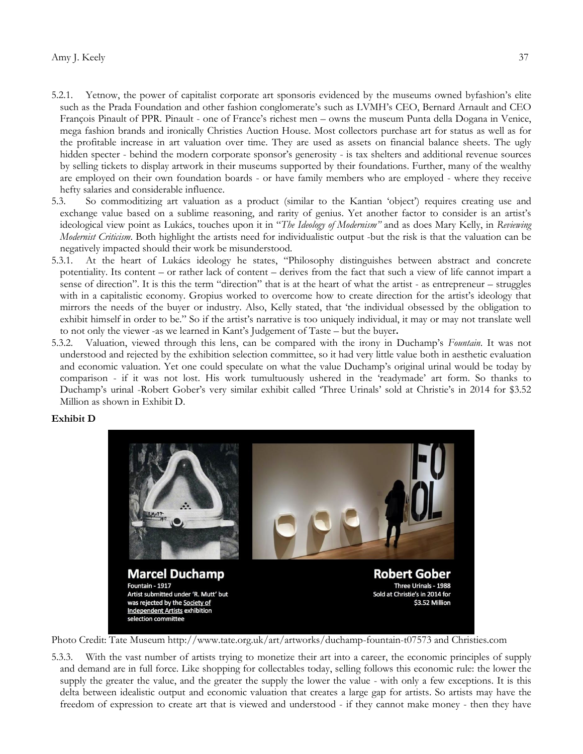- 5.2.1. Yetnow, the power of capitalist corporate art sponsoris evidenced by the museums owned byfashion"s elite such as the Prada Foundation and other fashion conglomerate's such as LVMH's CEO, Bernard Arnault and CEO François Pinault of PPR. Pinault - one of France's richest men – owns the museum Punta della Dogana in Venice, mega fashion brands and ironically Christies Auction House. Most collectors purchase art for status as well as for the profitable increase in art valuation over time. They are used as assets on financial balance sheets. The ugly hidden specter - behind the modern corporate sponsor's generosity - is tax shelters and additional revenue sources by selling tickets to display artwork in their museums supported by their foundations. Further, many of the wealthy are employed on their own foundation boards - or have family members who are employed - where they receive hefty salaries and considerable influence.
- 5.3. So commoditizing art valuation as a product (similar to the Kantian "object") requires creating use and exchange value based on a sublime reasoning, and rarity of genius. Yet another factor to consider is an artist's ideological view point as Lukács, touches upon it in "*The Ideology of Modernism"* and as does Mary Kelly, in *Reviewing Modernist Criticism*. Both highlight the artists need for individualistic output -but the risk is that the valuation can be negatively impacted should their work be misunderstood.
- 5.3.1. At the heart of Lukács ideology he states, "Philosophy distinguishes between abstract and concrete potentiality. Its content – or rather lack of content – derives from the fact that such a view of life cannot impart a sense of direction". It is this the term "direction" that is at the heart of what the artist - as entrepreneur – struggles with in a capitalistic economy. Gropius worked to overcome how to create direction for the artist's ideology that mirrors the needs of the buyer or industry. Also, Kelly stated, that "the individual obsessed by the obligation to exhibit himself in order to be." So if the artist's narrative is too uniquely individual, it may or may not translate well to not only the viewer -as we learned in Kant"s Judgement of Taste – but the buyer**.**
- 5.3.2. Valuation, viewed through this lens, can be compared with the irony in Duchamp"s *Fountain*. It was not understood and rejected by the exhibition selection committee, so it had very little value both in aesthetic evaluation and economic valuation. Yet one could speculate on what the value Duchamp"s original urinal would be today by comparison - if it was not lost. His work tumultuously ushered in the "readymade" art form. So thanks to Duchamp's urinal -Robert Gober's very similar exhibit called 'Three Urinals' sold at Christie's in 2014 for \$3.52 Million as shown in Exhibit D.

### **Exhibit D**



Photo Credit: Tate Museum http://www.tate.org.uk/art/artworks/duchamp-fountain-t07573 and Christies.com

5.3.3. With the vast number of artists trying to monetize their art into a career, the economic principles of supply and demand are in full force. Like shopping for collectables today, selling follows this economic rule: the lower the supply the greater the value, and the greater the supply the lower the value - with only a few exceptions. It is this delta between idealistic output and economic valuation that creates a large gap for artists. So artists may have the freedom of expression to create art that is viewed and understood - if they cannot make money - then they have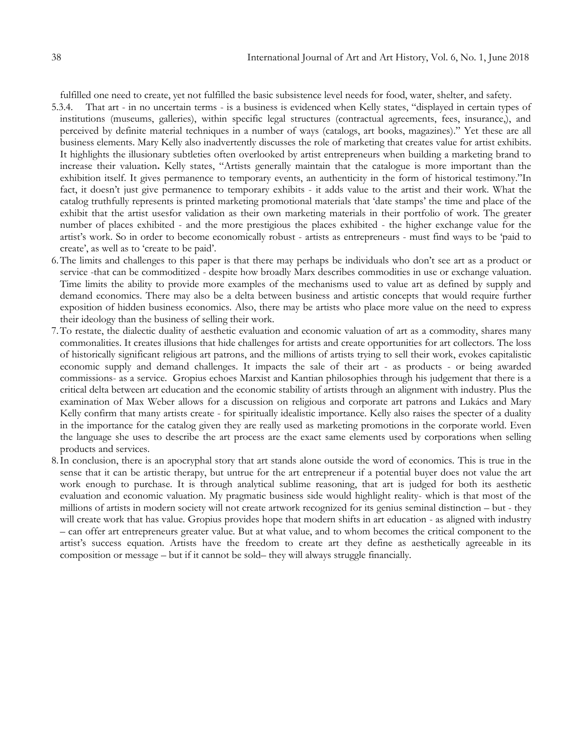fulfilled one need to create, yet not fulfilled the basic subsistence level needs for food, water, shelter, and safety.

- 5.3.4. That art in no uncertain terms is a business is evidenced when Kelly states, "displayed in certain types of institutions (museums, galleries), within specific legal structures (contractual agreements, fees, insurance,), and perceived by definite material techniques in a number of ways (catalogs, art books, magazines)." Yet these are all business elements. Mary Kelly also inadvertently discusses the role of marketing that creates value for artist exhibits. It highlights the illusionary subtleties often overlooked by artist entrepreneurs when building a marketing brand to increase their valuation**.** Kelly states, "Artists generally maintain that the catalogue is more important than the exhibition itself. It gives permanence to temporary events, an authenticity in the form of historical testimony."In fact, it doesn't just give permanence to temporary exhibits - it adds value to the artist and their work. What the catalog truthfully represents is printed marketing promotional materials that "date stamps" the time and place of the exhibit that the artist usesfor validation as their own marketing materials in their portfolio of work. The greater number of places exhibited - and the more prestigious the places exhibited - the higher exchange value for the artist"s work. So in order to become economically robust - artists as entrepreneurs - must find ways to be "paid to create', as well as to 'create to be paid'.
- 6.The limits and challenges to this paper is that there may perhaps be individuals who don"t see art as a product or service -that can be commoditized - despite how broadly Marx describes commodities in use or exchange valuation. Time limits the ability to provide more examples of the mechanisms used to value art as defined by supply and demand economics. There may also be a delta between business and artistic concepts that would require further exposition of hidden business economics. Also, there may be artists who place more value on the need to express their ideology than the business of selling their work.
- 7.To restate, the dialectic duality of aesthetic evaluation and economic valuation of art as a commodity, shares many commonalities. It creates illusions that hide challenges for artists and create opportunities for art collectors. The loss of historically significant religious art patrons, and the millions of artists trying to sell their work, evokes capitalistic economic supply and demand challenges. It impacts the sale of their art - as products - or being awarded commissions- as a service. Gropius echoes Marxist and Kantian philosophies through his judgement that there is a critical delta between art education and the economic stability of artists through an alignment with industry. Plus the examination of Max Weber allows for a discussion on religious and corporate art patrons and Lukács and Mary Kelly confirm that many artists create - for spiritually idealistic importance. Kelly also raises the specter of a duality in the importance for the catalog given they are really used as marketing promotions in the corporate world. Even the language she uses to describe the art process are the exact same elements used by corporations when selling products and services.
- 8.In conclusion, there is an apocryphal story that art stands alone outside the word of economics. This is true in the sense that it can be artistic therapy, but untrue for the art entrepreneur if a potential buyer does not value the art work enough to purchase. It is through analytical sublime reasoning, that art is judged for both its aesthetic evaluation and economic valuation. My pragmatic business side would highlight reality- which is that most of the millions of artists in modern society will not create artwork recognized for its genius seminal distinction – but - they will create work that has value. Gropius provides hope that modern shifts in art education - as aligned with industry – can offer art entrepreneurs greater value. But at what value, and to whom becomes the critical component to the artist's success equation. Artists have the freedom to create art they define as aesthetically agreeable in its composition or message – but if it cannot be sold– they will always struggle financially.